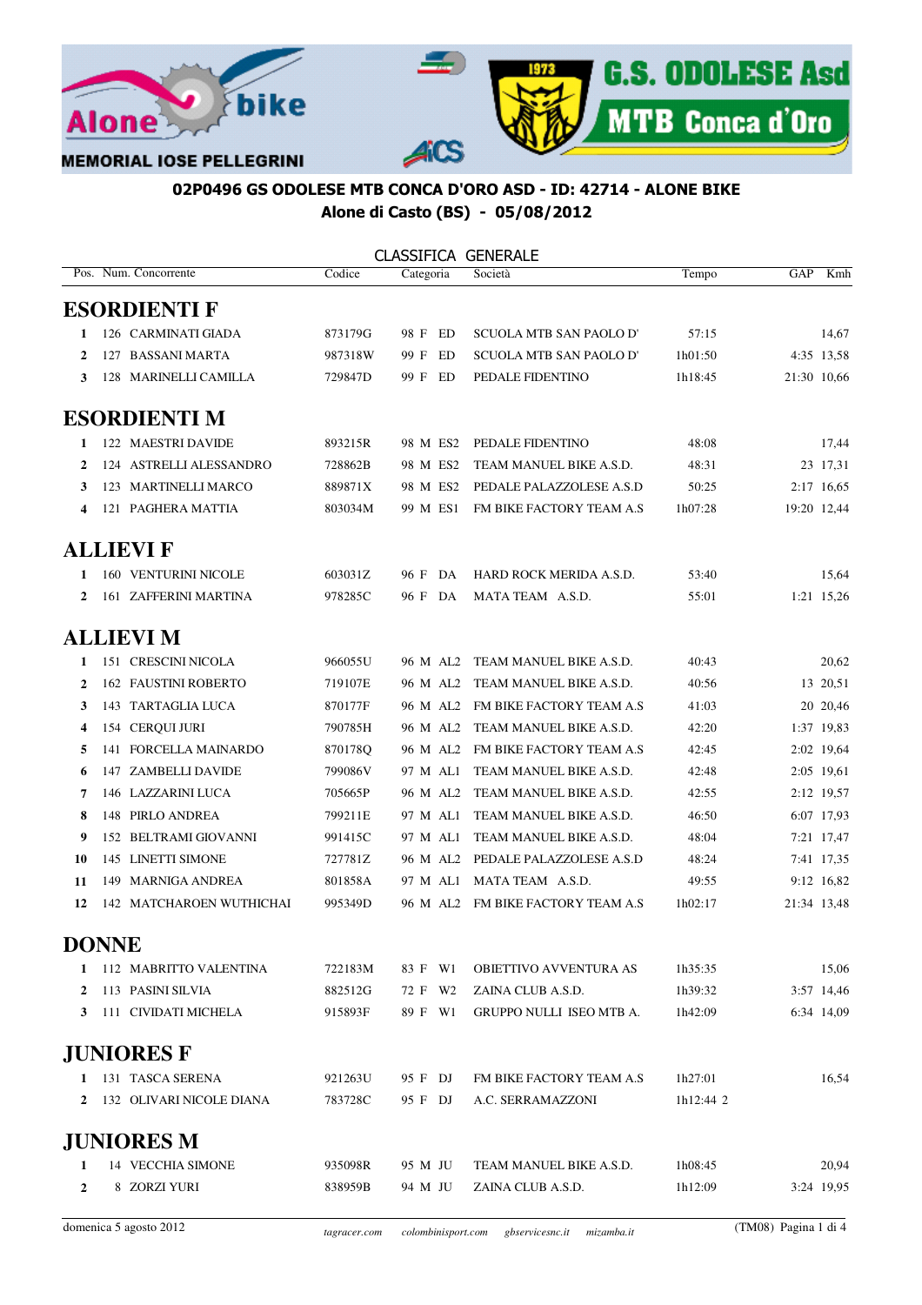



# 02P0496 GS ODOLESE MTB CONCA D'ORO ASD - ID: 42714 - ALONE BIKE Alone di Casto (BS) - 05/08/2012

| CLASSIFICA GENERALE |
|---------------------|
|---------------------|

|              | Pos. Num. Concorrente       | Codice  | Categoria  | Società                         | Tempo     | GAP         | Kmh         |
|--------------|-----------------------------|---------|------------|---------------------------------|-----------|-------------|-------------|
|              | <b>ESORDIENTI F</b>         |         |            |                                 |           |             |             |
| 1            | 126 CARMINATI GIADA         | 873179G | 98 F ED    | <b>SCUOLA MTB SAN PAOLO D'</b>  | 57:15     |             | 14,67       |
| 2            | 127 BASSANI MARTA           | 987318W | 99 F<br>ED | <b>SCUOLA MTB SAN PAOLO D'</b>  | 1h01:50   |             | 4:35 13,58  |
| 3            | 128 MARINELLI CAMILLA       | 729847D | 99 F ED    | PEDALE FIDENTINO                | 1h18:45   |             | 21:30 10,66 |
|              | <b>ESORDIENTI M</b>         |         |            |                                 |           |             |             |
| 1            | 122 MAESTRI DAVIDE          | 893215R | 98 M ES2   | PEDALE FIDENTINO                | 48:08     |             | 17,44       |
| 2            | 124 ASTRELLI ALESSANDRO     | 728862B | 98 M ES2   | TEAM MANUEL BIKE A.S.D.         | 48:31     |             | 23 17,31    |
| 3            | 123 MARTINELLI MARCO        | 889871X | 98 M ES2   | PEDALE PALAZZOLESE A.S.D        | 50:25     |             | 2:17 16.65  |
| 4            | 121 PAGHERA MATTIA          | 803034M | 99 M ES1   | FM BIKE FACTORY TEAM A.S        | 1h07:28   |             | 19:20 12,44 |
|              | <b>ALLIEVI F</b>            |         |            |                                 |           |             |             |
| 1            | 160 VENTURINI NICOLE        | 603031Z | 96 F DA    | HARD ROCK MERIDA A.S.D.         | 53:40     |             | 15,64       |
| 2            | 161 ZAFFERINI MARTINA       | 978285C | 96 F DA    | MATA TEAM A.S.D.                | 55:01     |             | 1:21 15,26  |
|              | <b>ALLIEVI M</b>            |         |            |                                 |           |             |             |
| 1            | 151 CRESCINI NICOLA         | 966055U | 96 M AL2   | TEAM MANUEL BIKE A.S.D.         | 40:43     |             | 20,62       |
| 2            | <b>162 FAUSTINI ROBERTO</b> | 719107E | 96 M AL2   | TEAM MANUEL BIKE A.S.D.         | 40:56     |             | 13 20,51    |
| 3            | 143 TARTAGLIA LUCA          | 870177F | 96 M AL2   | FM BIKE FACTORY TEAM A.S        | 41:03     |             | 20 20,46    |
| 4            | 154 CERQUI JURI             | 790785H | 96 M AL2   | TEAM MANUEL BIKE A.S.D.         | 42:20     |             | 1:37 19,83  |
| 5            | 141 FORCELLA MAINARDO       | 870178Q | 96 M AL2   | FM BIKE FACTORY TEAM A.S        | 42:45     |             | 2:02 19,64  |
| 6            | 147 ZAMBELLI DAVIDE         | 799086V | 97 M AL1   | TEAM MANUEL BIKE A.S.D.         | 42:48     |             | 2:05 19,61  |
| 7            | 146 LAZZARINI LUCA          | 705665P | 96 M AL2   | TEAM MANUEL BIKE A.S.D.         | 42:55     |             | 2:12 19,57  |
| 8            | 148 PIRLO ANDREA            | 799211E | 97 M AL1   | TEAM MANUEL BIKE A.S.D.         | 46:50     |             | 6:07 17,93  |
| 9            | 152 BELTRAMI GIOVANNI       | 991415C | 97 M AL1   | TEAM MANUEL BIKE A.S.D.         | 48:04     |             | 7:21 17,47  |
| 10           | 145 LINETTI SIMONE          | 727781Z | 96 M AL2   | PEDALE PALAZZOLESE A.S.D        | 48:24     |             | 7:41 17,35  |
| 11           | 149 MARNIGA ANDREA          | 801858A | 97 M AL1   | MATA TEAM A.S.D.                | 49:55     |             | 9:12 16,82  |
| 12           | 142 MATCHAROEN WUTHICHAI    | 995349D | 96 M AL2   | FM BIKE FACTORY TEAM A.S        | 1h02:17   | 21:34 13,48 |             |
| <b>DONNE</b> |                             |         |            |                                 |           |             |             |
| 1            | 112 MABRITTO VALENTINA      | 722183M | 83 F W1    | OBIETTIVO AVVENTURA AS          | 1h35:35   |             | 15,06       |
| 2            | 113 PASINI SILVIA           | 882512G | 72 F W2    | ZAINA CLUB A.S.D.               | 1h39:32   |             | 3:57 14,46  |
| 3            | 111 CIVIDATI MICHELA        | 915893F | 89 F W1    | <b>GRUPPO NULLI ISEO MTB A.</b> | 1h42:09   |             | 6:34 14,09  |
|              | <b>JUNIORES F</b>           |         |            |                                 |           |             |             |
| 1            | 131 TASCA SERENA            | 921263U | 95 F DJ    | FM BIKE FACTORY TEAM A.S        | 1h27:01   |             | 16,54       |
| 2            | 132 OLIVARI NICOLE DIANA    | 783728C | 95 F DJ    | A.C. SERRAMAZZONI               | 1h12:44 2 |             |             |
|              | <b>JUNIORES M</b>           |         |            |                                 |           |             |             |
| 1            | 14 VECCHIA SIMONE           | 935098R | 95 M JU    | TEAM MANUEL BIKE A.S.D.         | 1h08:45   |             | 20,94       |
| 2            | 8 ZORZI YURI                | 838959B | 94 M JU    | ZAINA CLUB A.S.D.               | 1h12:09   |             | 3:24 19,95  |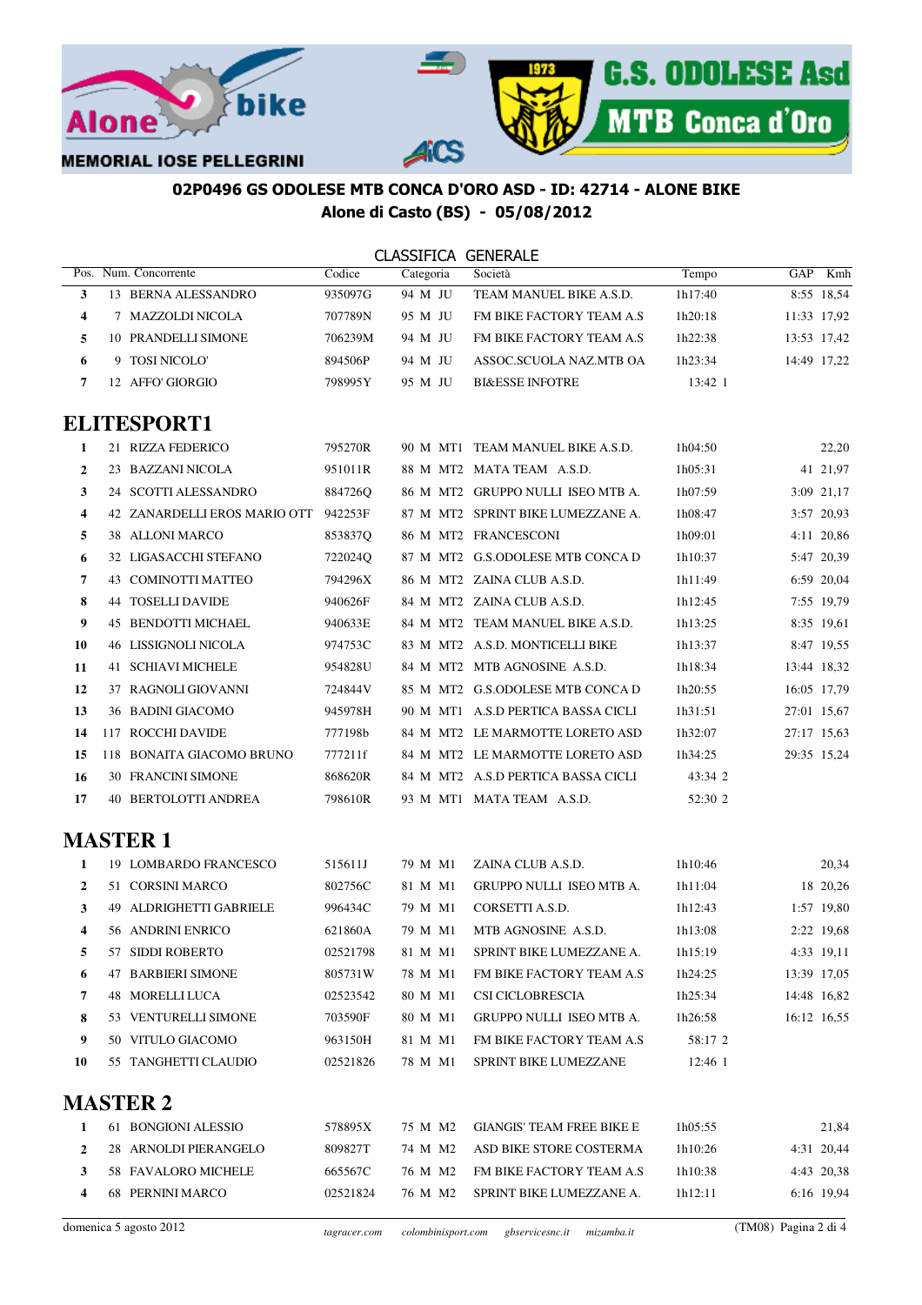



# 02P0496 GS ODOLESE MTB CONCA D'ORO ASD - ID: 42714 - ALONE BIKE Alone di Casto (BS) - 05/08/2012

|    |                              |              | <b>CLASSIFICA GENERALE</b> |                                    |         |                      |  |
|----|------------------------------|--------------|----------------------------|------------------------------------|---------|----------------------|--|
|    | Pos. Num. Concorrente        | Codice       | Categoria                  | Società                            | Tempo   | GAP<br>Kmh           |  |
| 3  | 13 BERNA ALESSANDRO          | 935097G      | 94 M JU                    | TEAM MANUEL BIKE A.S.D.            | 1h17:40 | 8:55 18.54           |  |
| 4  | 7 MAZZOLDI NICOLA            | 707789N      | 95 M JU                    | FM BIKE FACTORY TEAM A.S           | 1h20:18 | 11:33 17,92          |  |
| 5  | 10 PRANDELLI SIMONE          | 706239M      | 94 M JU                    | FM BIKE FACTORY TEAM A.S           | 1h22:38 | 13:53 17,42          |  |
| 6  | 9 TOSI NICOLO'               | 894506P      | 94 M JU                    | ASSOC.SCUOLA NAZ.MTB OA            | 1h23:34 | 14:49 17,22          |  |
| 7  | 12 AFFO' GIORGIO             | 798995Y      | 95 M JU                    | <b>BI&amp;ESSE INFOTRE</b>         | 13:42 1 |                      |  |
|    | <b>ELITESPORT1</b>           |              |                            |                                    |         |                      |  |
| 1  | 21 RIZZA FEDERICO            | 795270R      |                            | 90 M MT1 TEAM MANUEL BIKE A.S.D.   | 1h04:50 | 22,20                |  |
| 2  | 23 BAZZANI NICOLA            | 951011R      |                            | 88 M MT2 MATA TEAM A.S.D.          | 1h05:31 | 41 21,97             |  |
| 3  | 24 SCOTTI ALESSANDRO         | 884726Q      |                            | 86 M MT2 GRUPPO NULLI ISEO MTB A.  | 1h07:59 | 3:09 21,17           |  |
| 4  | 42 ZANARDELLI EROS MARIO OTT | 942253F      |                            | 87 M MT2 SPRINT BIKE LUMEZZANE A.  | 1h08:47 | 3:57 20,93           |  |
| 5  | 38 ALLONI MARCO              | 853837Q      |                            | 86 M MT2 FRANCESCONI               | 1h09:01 | 4:11 20,86           |  |
| 6  | 32 LIGASACCHI STEFANO        | 722024Q      |                            | 87 M MT2 G.S.ODOLESE MTB CONCA D   | 1h10:37 | 5:47 20,39           |  |
| 7  | 43 COMINOTTI MATTEO          | 794296X      |                            | 86 M MT2 ZAINA CLUB A.S.D.         | 1h11:49 | 6:59 20,04           |  |
| 8  | <b>44 TOSELLI DAVIDE</b>     | 940626F      |                            | 84 M MT2 ZAINA CLUB A.S.D.         | 1h12:45 | 7:55 19,79           |  |
| 9  | 45 BENDOTTI MICHAEL          | 940633E      |                            | 84 M MT2 TEAM MANUEL BIKE A.S.D.   | 1h13:25 | 8:35 19,61           |  |
| 10 | <b>46 LISSIGNOLI NICOLA</b>  | 974753C      |                            | 83 M MT2 A.S.D. MONTICELLI BIKE    | 1h13:37 | 8:47 19,55           |  |
| 11 | 41 SCHIAVI MICHELE           | 954828U      |                            | 84 M MT2 MTB AGNOSINE A.S.D.       | 1h18:34 | 13:44 18,32          |  |
| 12 | 37 RAGNOLI GIOVANNI          | 724844V      |                            | 85 M MT2 G.S.ODOLESE MTB CONCA D   | 1h20:55 | 16:05 17,79          |  |
| 13 | 36 BADINI GIACOMO            | 945978H      |                            | 90 M MT1 A.S.D PERTICA BASSA CICLI | 1h31:51 | 27:01 15,67          |  |
| 14 | 117 ROCCHI DAVIDE            | 777198b      |                            | 84 M MT2 LE MARMOTTE LORETO ASD    | 1h32:07 | 27:17 15,63          |  |
| 15 | 118 BONAITA GIACOMO BRUNO    | 777211f      |                            | 84 M MT2 LE MARMOTTE LORETO ASD    | 1h34:25 | 29:35 15,24          |  |
| 16 | 30 FRANCINI SIMONE           | 868620R      |                            | 84 M MT2 A.S.D PERTICA BASSA CICLI | 43:34 2 |                      |  |
| 17 | 40 BERTOLOTTI ANDREA         | 798610R      |                            | 93 M MT1 MATA TEAM A.S.D.          | 52:30 2 |                      |  |
|    | <b>MASTER 1</b>              |              |                            |                                    |         |                      |  |
|    |                              |              |                            |                                    |         |                      |  |
| 1  | 19 LOMBARDO FRANCESCO        | 515611J      | 79 M M1                    | ZAINA CLUB A.S.D.                  | 1h10:46 | 20,34                |  |
| 2  | 51 CORSINI MARCO             | 802756C      | 81 M M1                    | GRUPPO NULLI ISEO MTB A.           | 1h11:04 | 18 20,26             |  |
| 3  | 49 ALDRIGHETTI GABRIELE      | 996434C      | 79 M M1                    | CORSETTI A.S.D.                    | 1h12:43 | 1:57 19,80           |  |
| 4  | 56 ANDRINI ENRICO            | 621860A      | 79 M M1                    | MTB AGNOSINE A.S.D.                | 1h13:08 | 2:22 19,68           |  |
| 5  | 57 SIDDI ROBERTO             | 02521798     | 81 M M1                    | SPRINT BIKE LUMEZZANE A.           | 1h15:19 | 4:33 19,11           |  |
| 6  | <b>47 BARBIERI SIMONE</b>    | 805731W      | 78 M M1                    | FM BIKE FACTORY TEAM A.S           | 1h24:25 | 13:39 17,05          |  |
| 7  | 48 MORELLI LUCA              | 02523542     | 80 M M1                    | CSI CICLOBRESCIA                   | 1h25:34 | 14:48 16,82          |  |
| 8  | 53 VENTURELLI SIMONE         | 703590F      | 80 M M1                    | GRUPPO NULLI ISEO MTB A.           | 1h26:58 | 16:12 16,55          |  |
| 9  | 50 VITULO GIACOMO            | 963150H      | 81 M M1                    | FM BIKE FACTORY TEAM A.S           | 58:17 2 |                      |  |
| 10 | 55 TANGHETTI CLAUDIO         | 02521826     | 78 M M1                    | SPRINT BIKE LUMEZZANE              | 12:46 1 |                      |  |
|    | <b>MASTER 2</b>              |              |                            |                                    |         |                      |  |
| 1  | 61 BONGIONI ALESSIO          | 578895X      | 75 M M2                    | <b>GIANGIS' TEAM FREE BIKE E</b>   | 1h05:55 | 21,84                |  |
| 2  | 28 ARNOLDI PIERANGELO        | 809827T      | 74 M M2                    | ASD BIKE STORE COSTERMA            | 1h10:26 | 4:31 20,44           |  |
| 3  | 58 FAVALORO MICHELE          | 665567C      | 76 M M2                    | FM BIKE FACTORY TEAM A.S           | 1h10:38 | 4:43 20,38           |  |
| 4  | 68 PERNINI MARCO             | 02521824     | 76 M M2                    | SPRINT BIKE LUMEZZANE A.           | 1h12:11 | 6:16 19,94           |  |
|    | domenica 5 agosto 2012       | tagracer.com | colombinisport.com         | gbservicesnc.it<br>mizamba.it      |         | (TM08) Pagina 2 di 4 |  |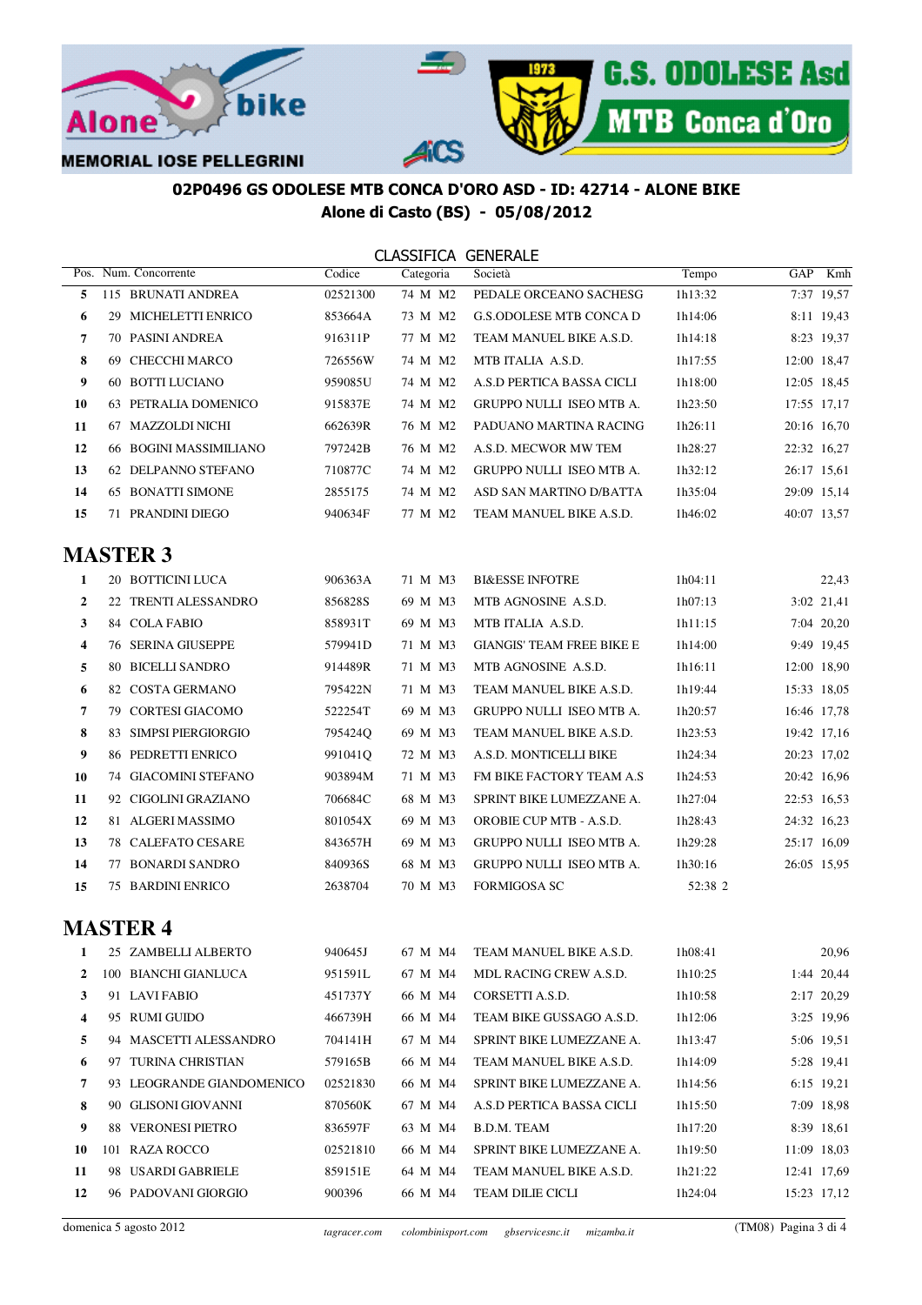



### 02P0496 GS ODOLESE MTB CONCA D'ORO ASD - ID: 42714 - ALONE BIKE Alone di Casto (BS) - 05/08/2012

|    |     | Pos. Num. Concorrente  | Codice   | Categoria | Società                         | Tempo   | GAP         | Kmh        |
|----|-----|------------------------|----------|-----------|---------------------------------|---------|-------------|------------|
| 5. |     | 115 BRUNATI ANDREA     | 02521300 | 74 M M2   | PEDALE ORCEANO SACHESG          | 1h13:32 |             | 7:37 19.57 |
| 6  | 29  | MICHELETTI ENRICO      | 853664A  | 73 M M2   | G.S.ODOLESE MTB CONCA D         | 1h14:06 |             | 8:11 19.43 |
| 7  |     | 70 PASINI ANDREA       | 916311P  | 77 M M2   | TEAM MANUEL BIKE A.S.D.         | 1h14:18 |             | 8:23 19.37 |
| 8  | 69  | CHECCHI MARCO          | 726556W  | 74 M M2   | MTB ITALIA A.S.D.               | 1h17:55 | 12:00 18.47 |            |
| 9  |     | 60 BOTTI LUCIANO       | 959085U  | 74 M M2   | A S D PERTICA BASSA CICLI       | 1h18:00 | 12:05 18.45 |            |
| 10 | 63. | PETRALIA DOMENICO      | 915837E  | 74 M M2   | <b>GRUPPO NULLI ISEO MTB A.</b> | 1h23:50 | 17:55 17.17 |            |
| 11 |     | 67 MAZZOLDI NICHI      | 662639R  | 76 M M2   | PADUANO MARTINA RACING          | 1h26:11 | 20:16 16,70 |            |
| 12 |     | 66 BOGINI MASSIMILIANO | 797242B  | 76 M M2   | A.S.D. MECWOR MW TEM            | 1h28:27 | 22:32 16,27 |            |
| 13 | 62  | DELPANNO STEFANO       | 710877C  | 74 M M2   | <b>GRUPPO NULLI ISEO MTB A.</b> | 1h32:12 | 26:17 15.61 |            |
| 14 | 65. | <b>BONATTI SIMONE</b>  | 2855175  | 74 M M2   | ASD SAN MARTINO D/BATTA         | 1h35:04 | 29:09 15,14 |            |
| 15 |     | 71 PRANDINI DIEGO      | 940634F  | 77 M M2   | TEAM MANUEL BIKE A.S.D.         | 1h46:02 | 40:07 13,57 |            |

| 1              |    | 20 BOTTICINI LUCA         | 906363A | 71 M M3 | <b>BI&amp;ESSE INFOTRE</b>       | 1h04:11 |             | 22,43      |
|----------------|----|---------------------------|---------|---------|----------------------------------|---------|-------------|------------|
| $\mathbf{2}$   |    | 22 TRENTI ALESSANDRO      | 856828S | 69 M M3 | MTB AGNOSINE A.S.D.              | 1h07:13 |             | 3:02 21,41 |
| 3              |    | 84 COLA FABIO             | 858931T | 69 M M3 | MTB ITALIA A.S.D.                | 1h11:15 |             | 7:04 20,20 |
| 4              |    | <b>76 SERINA GIUSEPPE</b> | 579941D | 71 M M3 | <b>GIANGIS' TEAM FREE BIKE E</b> | 1h14:00 |             | 9:49 19.45 |
| 5              |    | 80 BICELLI SANDRO         | 914489R | 71 M M3 | MTB AGNOSINE A.S.D.              | 1h16:11 | 12:00 18.90 |            |
| 6              |    | 82 COSTA GERMANO          | 795422N | 71 M M3 | TEAM MANUEL BIKE A.S.D.          | 1h19:44 | 15:33 18,05 |            |
| $\overline{7}$ | 79 | CORTESI GIACOMO           | 522254T | 69 M M3 | <b>GRUPPO NULLI ISEO MTB A.</b>  | 1h20:57 | 16:46 17.78 |            |
| 8              |    | 83 SIMPSI PIERGIORGIO     | 795424O | 69 M M3 | TEAM MANUEL BIKE A.S.D.          | 1h23:53 | 19:42 17,16 |            |
| 9              |    | 86 PEDRETTI ENRICO        | 991041O | 72 M M3 | A.S.D. MONTICELLI BIKE           | 1h24:34 | 20:23 17,02 |            |
| 10             |    | 74 GIACOMINI STEFANO      | 903894M | 71 M M3 | FM BIKE FACTORY TEAM A.S.        | 1h24:53 | 20:42 16,96 |            |
| 11             |    | 92 CIGOLINI GRAZIANO      | 706684C | 68 M M3 | SPRINT BIKE LUMEZZANE A.         | 1h27:04 | 22:53 16.53 |            |
| 12             |    | 81 ALGERI MASSIMO         | 801054X | 69 M M3 | <b>OROBIE CUP MTB - A.S.D.</b>   | 1h28:43 | 24:32 16,23 |            |
| 13             |    | 78 CALEFATO CESARE        | 843657H | 69 M M3 | <b>GRUPPO NULLI ISEO MTB A.</b>  | 1h29:28 | 25:17 16,09 |            |
| 14             | 77 | <b>BONARDI SANDRO</b>     | 840936S | 68 M M3 | <b>GRUPPO NULLI ISEO MTB A.</b>  | 1h30:16 | 26:05 15.95 |            |
| 15             |    | <b>75 BARDINI ENRICO</b>  | 2638704 | 70 M M3 | <b>FORMIGOSA SC</b>              | 52:38 2 |             |            |

# **MASTER 4**

|    |      | 25 ZAMBELLI ALBERTO     | 940645J  | 67 M M4 | TEAM MANUEL BIKE A.S.D.       | 1h08:41 | 20,96       |
|----|------|-------------------------|----------|---------|-------------------------------|---------|-------------|
| 2  | 100- | BIANCHI GIANLUCA        | 951591L  | 67 M M4 | <b>MDL RACING CREW A.S.D.</b> | 1h10:25 | 1:44 20,44  |
| 3  |      | 91 LAVIFABIO            | 451737Y  | 66 M M4 | CORSETTI A.S.D.               | 1h10:58 | 2:17 20,29  |
| 4  | 95   | RUMI GUIDO              | 466739H  | 66 M M4 | TEAM BIKE GUSSAGO A.S.D.      | 1h12:06 | 3:25 19.96  |
| 5. | 94   | MASCETTI ALESSANDRO     | 704141H  | 67 M M4 | SPRINT BIKE LUMEZZANE A.      | 1h13:47 | 5:06 19.51  |
| 6  | 97   | <b>TURINA CHRISTIAN</b> | 579165B  | 66 M M4 | TEAM MANUEL BIKE A.S.D.       | 1h14:09 | 5:28 19.41  |
| 7  | 93   | LEOGRANDE GIANDOMENICO  | 02521830 | 66 M M4 | SPRINT BIKE LUMEZZANE A.      | 1h14:56 | 6:15 19.21  |
| 8  | 90   | GLISONI GIOVANNI        | 870560K  | 67 M M4 | A S D PERTICA BASSA CICLI     | 1h15:50 | 7:09 18.98  |
| 9  | 88.  | <b>VERONESI PIETRO</b>  | 836597F  | 63 M M4 | B.D.M. TEAM                   | 1h17:20 | 8:39 18.61  |
| 10 | 101  | RAZA ROCCO              | 02521810 | 66 M M4 | SPRINT BIKE LUMEZZANE A.      | 1h19:50 | 11:09 18.03 |
| 11 | 98   | USARDI GABRIELE         | 859151E  | 64 M M4 | TEAM MANUEL BIKE A.S.D.       | 1h21:22 | 12:41 17.69 |
| 12 |      | 96 PADOVANI GIORGIO     | 900396   | 66 M M4 | <b>TEAM DILIE CICLI</b>       | 1h24:04 | 15:23 17.12 |
|    |      |                         |          |         |                               |         |             |